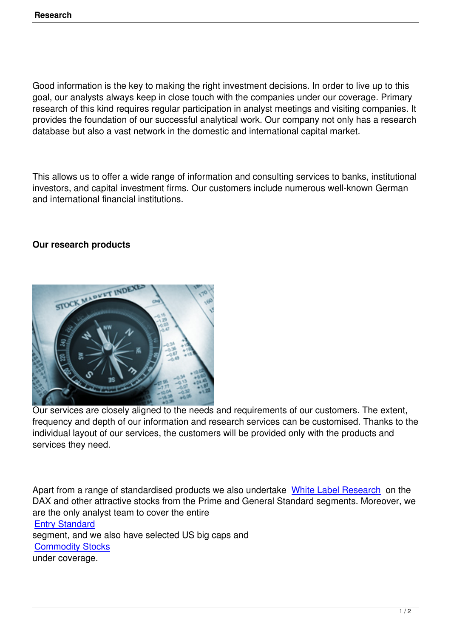Good information is the key to making the right investment decisions. In order to live up to this goal, our analysts always keep in close touch with the companies under our coverage. Primary research of this kind requires regular participation in analyst meetings and visiting companies. It provides the foundation of our successful analytical work. Our company not only has a research database but also a vast network in the domestic and international capital market.

This allows us to offer a wide range of information and consulting services to banks, institutional investors, and capital investment firms. Our customers include numerous well-known German and international financial institutions.

## **Our research products**



Our services are closely aligned to the needs and requirements of our customers. The extent, frequency and depth of our information and research services can be customised. Thanks to the individual layout of our services, the customers will be provided only with the products and services they need.

Apart from a range of standardised products we also undertake White Label Research on the DAX and other attractive stocks from the Prime and General Standard segments. Moreover, we are the only analyst team to cover the entire Entry Standard segment, and we also have selected US big caps and Commodity Stocks [under coverage](index.php?option=com_content&view=article&id=87&Itemid=165&lang=en).